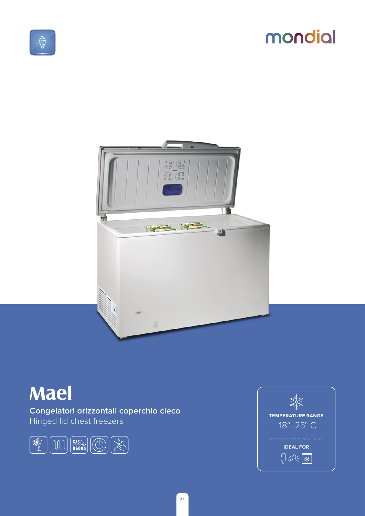# mondial





## **Mael**

Congelatori orizzontali coperchio cieco Hinged lid chest freezers